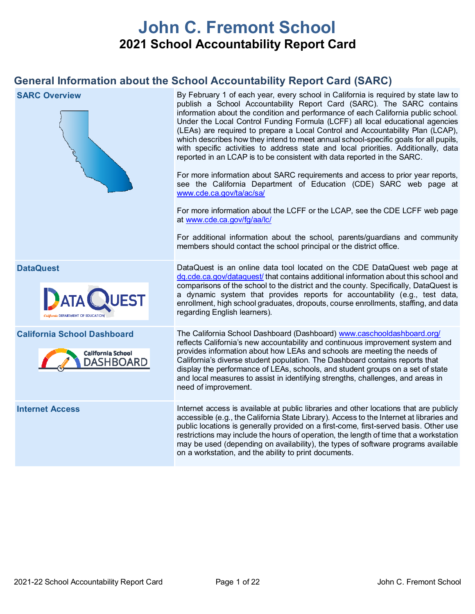# **John C. Fremont School 2021 School Accountability Report Card**

# **General Information about the School Accountability Report Card (SARC)**

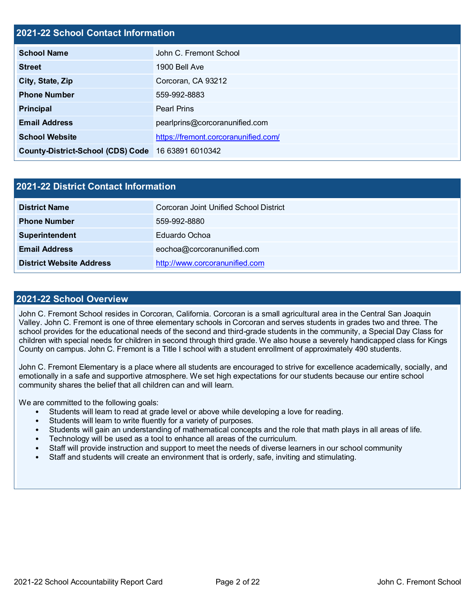#### **2021-22 School Contact Information**

| <b>School Name</b>                       | John C. Fremont School               |  |  |  |
|------------------------------------------|--------------------------------------|--|--|--|
| <b>Street</b>                            | 1900 Bell Ave                        |  |  |  |
| City, State, Zip                         | Corcoran, CA 93212                   |  |  |  |
| <b>Phone Number</b>                      | 559-992-8883                         |  |  |  |
| <b>Principal</b>                         | <b>Pearl Prins</b>                   |  |  |  |
| <b>Email Address</b>                     | pearlprins@corcoranunified.com       |  |  |  |
| <b>School Website</b>                    | https://fremont.corcoranunified.com/ |  |  |  |
| <b>County-District-School (CDS) Code</b> | 16 63891 6010342                     |  |  |  |

| 2021-22 District Contact Information |                                        |  |  |  |  |
|--------------------------------------|----------------------------------------|--|--|--|--|
| <b>District Name</b>                 | Corcoran Joint Unified School District |  |  |  |  |
| <b>Phone Number</b>                  | 559-992-8880                           |  |  |  |  |
| Superintendent                       | Eduardo Ochoa                          |  |  |  |  |
| <b>Email Address</b>                 | eochoa@corcoranunified.com             |  |  |  |  |
| <b>District Website Address</b>      | http://www.corcoranunified.com         |  |  |  |  |

#### **2021-22 School Overview**

John C. Fremont School resides in Corcoran, California. Corcoran is a small agricultural area in the Central San Joaquin Valley. John C. Fremont is one of three elementary schools in Corcoran and serves students in grades two and three. The school provides for the educational needs of the second and third-grade students in the community, a Special Day Class for children with special needs for children in second through third grade. We also house a severely handicapped class for Kings County on campus. John C. Fremont is a Title I school with a student enrollment of approximately 490 students.

John C. Fremont Elementary is a place where all students are encouraged to strive for excellence academically, socially, and emotionally in a safe and supportive atmosphere. We set high expectations for our students because our entire school community shares the belief that all children can and will learn.

We are committed to the following goals:

- Students will learn to read at grade level or above while developing a love for reading.
- Students will learn to write fluently for a variety of purposes.
- Students will gain an understanding of mathematical concepts and the role that math plays in all areas of life.
- Technology will be used as a tool to enhance all areas of the curriculum.
- Staff will provide instruction and support to meet the needs of diverse learners in our school community
- Staff and students will create an environment that is orderly, safe, inviting and stimulating.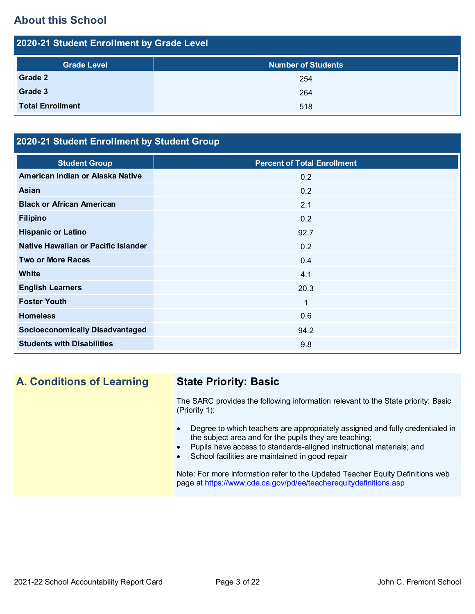# **About this School**

| 2020-21 Student Enrollment by Grade Level |                           |  |  |  |  |  |
|-------------------------------------------|---------------------------|--|--|--|--|--|
| <b>Grade Level</b>                        | <b>Number of Students</b> |  |  |  |  |  |
| Grade 2                                   | 254                       |  |  |  |  |  |
| Grade 3                                   | 264                       |  |  |  |  |  |
| <b>Total Enrollment</b>                   | 518                       |  |  |  |  |  |

### **2020-21 Student Enrollment by Student Group**

| <b>Student Group</b>                   | <b>Percent of Total Enrollment</b> |
|----------------------------------------|------------------------------------|
| American Indian or Alaska Native       | 0.2                                |
| Asian                                  | 0.2                                |
| <b>Black or African American</b>       | 2.1                                |
| <b>Filipino</b>                        | 0.2                                |
| <b>Hispanic or Latino</b>              | 92.7                               |
| Native Hawaiian or Pacific Islander    | 0.2                                |
| <b>Two or More Races</b>               | 0.4                                |
| White                                  | 4.1                                |
| <b>English Learners</b>                | 20.3                               |
| <b>Foster Youth</b>                    | $\mathbf 1$                        |
| <b>Homeless</b>                        | 0.6                                |
| <b>Socioeconomically Disadvantaged</b> | 94.2                               |
| <b>Students with Disabilities</b>      | 9.8                                |
|                                        |                                    |

# **A. Conditions of Learning State Priority: Basic**

The SARC provides the following information relevant to the State priority: Basic (Priority 1):

- Degree to which teachers are appropriately assigned and fully credentialed in the subject area and for the pupils they are teaching;
- Pupils have access to standards-aligned instructional materials; and
- School facilities are maintained in good repair

Note: For more information refer to the Updated Teacher Equity Definitions web page at<https://www.cde.ca.gov/pd/ee/teacherequitydefinitions.asp>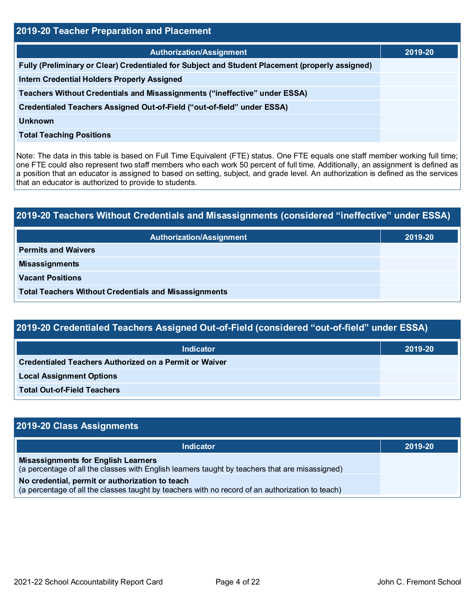| 2019-20 Teacher Preparation and Placement                                                       |         |  |  |  |  |
|-------------------------------------------------------------------------------------------------|---------|--|--|--|--|
| <b>Authorization/Assignment</b>                                                                 | 2019-20 |  |  |  |  |
| Fully (Preliminary or Clear) Credentialed for Subject and Student Placement (properly assigned) |         |  |  |  |  |
| <b>Intern Credential Holders Properly Assigned</b>                                              |         |  |  |  |  |
| Teachers Without Credentials and Misassignments ("ineffective" under ESSA)                      |         |  |  |  |  |
| Credentialed Teachers Assigned Out-of-Field ("out-of-field" under ESSA)                         |         |  |  |  |  |
| <b>Unknown</b>                                                                                  |         |  |  |  |  |
| <b>Total Teaching Positions</b>                                                                 |         |  |  |  |  |
|                                                                                                 |         |  |  |  |  |

Note: The data in this table is based on Full Time Equivalent (FTE) status. One FTE equals one staff member working full time; one FTE could also represent two staff members who each work 50 percent of full time. Additionally, an assignment is defined as a position that an educator is assigned to based on setting, subject, and grade level. An authorization is defined as the services that an educator is authorized to provide to students.

# **2019-20 Teachers Without Credentials and Misassignments (considered "ineffective" under ESSA)**

| Authorization/Assignment                                     | 2019-20 |
|--------------------------------------------------------------|---------|
| <b>Permits and Waivers</b>                                   |         |
| <b>Misassignments</b>                                        |         |
| <b>Vacant Positions</b>                                      |         |
| <b>Total Teachers Without Credentials and Misassignments</b> |         |

## **2019-20 Credentialed Teachers Assigned Out-of-Field (considered "out-of-field" under ESSA)**

| <b>Indicator</b>                                              | 2019-20 |
|---------------------------------------------------------------|---------|
| <b>Credentialed Teachers Authorized on a Permit or Waiver</b> |         |
| <b>Local Assignment Options</b>                               |         |
| <b>Total Out-of-Field Teachers</b>                            |         |

# **2019-20 Class Assignments Indicator 2019-20 Misassignments for English Learners** (a percentage of all the classes with English learners taught by teachers that are misassigned) **No credential, permit or authorization to teach** (a percentage of all the classes taught by teachers with no record of an authorization to teach)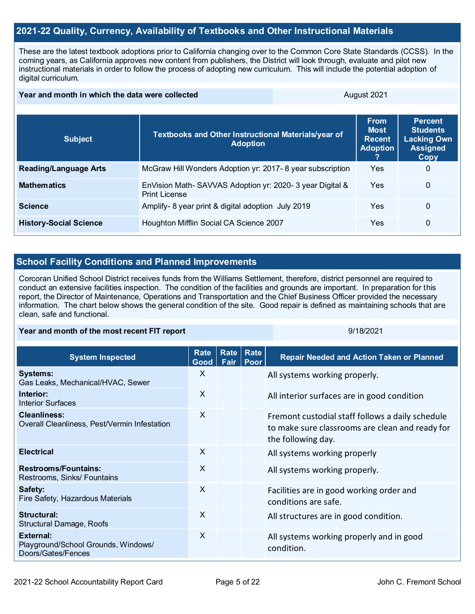#### **2021-22 Quality, Currency, Availability of Textbooks and Other Instructional Materials**

These are the latest textbook adoptions prior to California changing over to the Common Core State Standards (CCSS). In the coming years, as California approves new content from publishers, the District will look through, evaluate and pilot new instructional materials in order to follow the process of adopting new curriculum. This will include the potential adoption of digital curriculum.

#### **Year and month in which the data were collected August 2021** August 2021

| <b>Subject</b>                | <b>Textbooks and Other Instructional Materials/year of</b><br><b>Adoption</b>   | <b>From</b><br><b>Most</b><br><b>Recent</b><br><b>Adoption</b> | <b>Percent</b><br><b>Students</b><br><b>Lacking Own</b><br><b>Assigned</b><br>Copy |
|-------------------------------|---------------------------------------------------------------------------------|----------------------------------------------------------------|------------------------------------------------------------------------------------|
| <b>Reading/Language Arts</b>  | McGraw Hill Wonders Adoption yr: 2017-8 year subscription                       | Yes                                                            | 0                                                                                  |
| <b>Mathematics</b>            | EnVision Math-SAVVAS Adoption yr: 2020-3 year Digital &<br><b>Print License</b> | Yes                                                            | 0                                                                                  |
| <b>Science</b>                | Amplify- 8 year print & digital adoption July 2019                              | Yes                                                            | 0                                                                                  |
| <b>History-Social Science</b> | Houghton Mifflin Social CA Science 2007                                         | Yes                                                            | 0                                                                                  |

#### **School Facility Conditions and Planned Improvements**

Corcoran Unified School District receives funds from the Williams Settlement, therefore, district personnel are required to conduct an extensive facilities inspection. The condition of the facilities and grounds are important. In preparation for this report, the Director of Maintenance, Operations and Transportation and the Chief Business Officer provided the necessary information. The chart below shows the general condition of the site. Good repair is defined as maintaining schools that are clean, safe and functional.

#### **Year and month of the most recent FIT report** All Allen All Allen All Allen All All All All 9/18/2021

| <b>System Inspected</b>                                                | <b>Rate</b><br>Good | Rate <br>Fair | Rate<br>Poor | <b>Repair Needed and Action Taken or Planned</b>                                                                          |
|------------------------------------------------------------------------|---------------------|---------------|--------------|---------------------------------------------------------------------------------------------------------------------------|
| <b>Systems:</b><br>Gas Leaks, Mechanical/HVAC, Sewer                   | X                   |               |              | All systems working properly.                                                                                             |
| Interior:<br>Interior Surfaces                                         | $\times$            |               |              | All interior surfaces are in good condition                                                                               |
| <b>Cleanliness:</b><br>Overall Cleanliness, Pest/Vermin Infestation    | $\times$            |               |              | Fremont custodial staff follows a daily schedule<br>to make sure classrooms are clean and ready for<br>the following day. |
| <b>Electrical</b>                                                      | X                   |               |              | All systems working properly                                                                                              |
| <b>Restrooms/Fountains:</b><br>Restrooms, Sinks/ Fountains             | X                   |               |              | All systems working properly.                                                                                             |
| Safety:<br>Fire Safety, Hazardous Materials                            | X                   |               |              | Facilities are in good working order and<br>conditions are safe.                                                          |
| Structural:<br><b>Structural Damage, Roofs</b>                         | X                   |               |              | All structures are in good condition.                                                                                     |
| External:<br>Playground/School Grounds, Windows/<br>Doors/Gates/Fences | X                   |               |              | All systems working properly and in good<br>condition.                                                                    |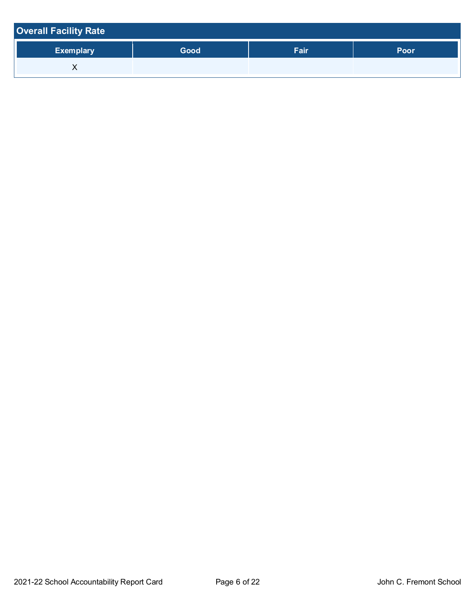| <b>Overall Facility Rate</b> |      |      |      |
|------------------------------|------|------|------|
| <b>Exemplary</b>             | Good | Fair | Poor |
| ⌒                            |      |      |      |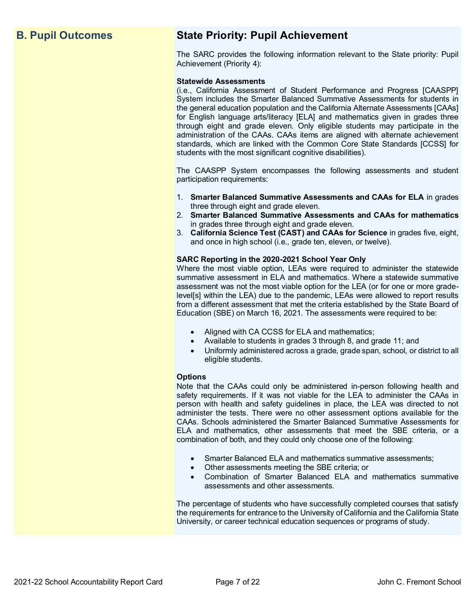# **B. Pupil Outcomes State Priority: Pupil Achievement**

The SARC provides the following information relevant to the State priority: Pupil Achievement (Priority 4):

#### **Statewide Assessments**

(i.e., California Assessment of Student Performance and Progress [CAASPP] System includes the Smarter Balanced Summative Assessments for students in the general education population and the California Alternate Assessments [CAAs] for English language arts/literacy [ELA] and mathematics given in grades three through eight and grade eleven. Only eligible students may participate in the administration of the CAAs. CAAs items are aligned with alternate achievement standards, which are linked with the Common Core State Standards [CCSS] for students with the most significant cognitive disabilities).

The CAASPP System encompasses the following assessments and student participation requirements:

- 1. **Smarter Balanced Summative Assessments and CAAs for ELA** in grades three through eight and grade eleven.
- 2. **Smarter Balanced Summative Assessments and CAAs for mathematics** in grades three through eight and grade eleven.
- 3. **California Science Test (CAST) and CAAs for Science** in grades five, eight, and once in high school (i.e., grade ten, eleven, or twelve).

#### **SARC Reporting in the 2020-2021 School Year Only**

Where the most viable option, LEAs were required to administer the statewide summative assessment in ELA and mathematics. Where a statewide summative assessment was not the most viable option for the LEA (or for one or more gradelevel[s] within the LEA) due to the pandemic, LEAs were allowed to report results from a different assessment that met the criteria established by the State Board of Education (SBE) on March 16, 2021. The assessments were required to be:

- Aligned with CA CCSS for ELA and mathematics;
- Available to students in grades 3 through 8, and grade 11; and
- Uniformly administered across a grade, grade span, school, or district to all eligible students.

#### **Options**

Note that the CAAs could only be administered in-person following health and safety requirements. If it was not viable for the LEA to administer the CAAs in person with health and safety guidelines in place, the LEA was directed to not administer the tests. There were no other assessment options available for the CAAs. Schools administered the Smarter Balanced Summative Assessments for ELA and mathematics, other assessments that meet the SBE criteria, or a combination of both, and they could only choose one of the following:

- Smarter Balanced ELA and mathematics summative assessments;
- Other assessments meeting the SBE criteria; or
- Combination of Smarter Balanced ELA and mathematics summative assessments and other assessments.

The percentage of students who have successfully completed courses that satisfy the requirements for entrance to the University of California and the California State University, or career technical education sequences or programs of study.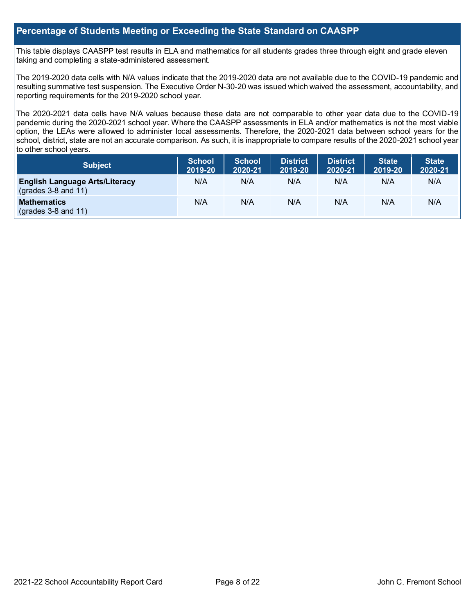#### **Percentage of Students Meeting or Exceeding the State Standard on CAASPP**

This table displays CAASPP test results in ELA and mathematics for all students grades three through eight and grade eleven taking and completing a state-administered assessment.

The 2019-2020 data cells with N/A values indicate that the 2019-2020 data are not available due to the COVID-19 pandemic and resulting summative test suspension. The Executive Order N-30-20 was issued which waived the assessment, accountability, and reporting requirements for the 2019-2020 school year.

The 2020-2021 data cells have N/A values because these data are not comparable to other year data due to the COVID-19 pandemic during the 2020-2021 school year. Where the CAASPP assessments in ELA and/or mathematics is not the most viable option, the LEAs were allowed to administer local assessments. Therefore, the 2020-2021 data between school years for the school, district, state are not an accurate comparison. As such, it is inappropriate to compare results of the 2020-2021 school year to other school years.

| <b>Subject</b>                                                 | <b>School</b><br>2019-20 | <b>School</b><br>2020-21 | <b>District</b><br>2019-20 | <b>District</b><br>2020-21 | <b>State</b><br>2019-20 | <b>State</b><br>2020-21 |
|----------------------------------------------------------------|--------------------------|--------------------------|----------------------------|----------------------------|-------------------------|-------------------------|
| <b>English Language Arts/Literacy</b><br>$(grades 3-8 and 11)$ | N/A                      | N/A                      | N/A                        | N/A                        | N/A                     | N/A                     |
| <b>Mathematics</b><br>$(grades 3-8 and 11)$                    | N/A                      | N/A                      | N/A                        | N/A                        | N/A                     | N/A                     |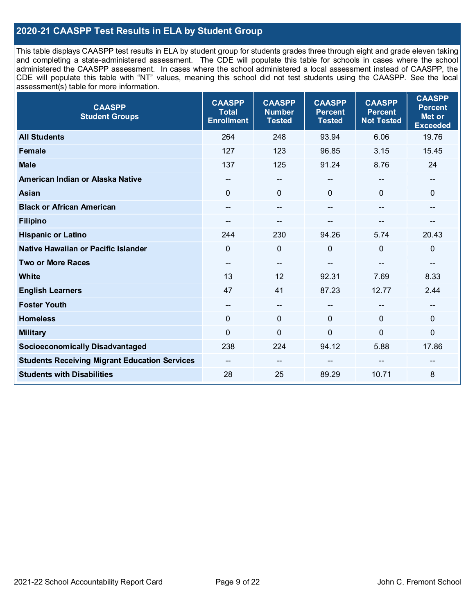### **2020-21 CAASPP Test Results in ELA by Student Group**

This table displays CAASPP test results in ELA by student group for students grades three through eight and grade eleven taking and completing a state-administered assessment. The CDE will populate this table for schools in cases where the school administered the CAASPP assessment. In cases where the school administered a local assessment instead of CAASPP, the CDE will populate this table with "NT" values, meaning this school did not test students using the CAASPP. See the local assessment(s) table for more information.

| <b>CAASPP</b><br><b>Student Groups</b>               | <b>CAASPP</b><br><b>Total</b><br><b>Enrollment</b> | <b>CAASPP</b><br><b>Number</b><br><b>Tested</b> | <b>CAASPP</b><br><b>Percent</b><br><b>Tested</b> | <b>CAASPP</b><br><b>Percent</b><br><b>Not Tested</b> | <b>CAASPP</b><br><b>Percent</b><br>Met or<br><b>Exceeded</b> |
|------------------------------------------------------|----------------------------------------------------|-------------------------------------------------|--------------------------------------------------|------------------------------------------------------|--------------------------------------------------------------|
| <b>All Students</b>                                  | 264                                                | 248                                             | 93.94                                            | 6.06                                                 | 19.76                                                        |
| <b>Female</b>                                        | 127                                                | 123                                             | 96.85                                            | 3.15                                                 | 15.45                                                        |
| <b>Male</b>                                          | 137                                                | 125                                             | 91.24                                            | 8.76                                                 | 24                                                           |
| American Indian or Alaska Native                     | $\hspace{0.05cm}$ – $\hspace{0.05cm}$              | $\overline{\phantom{a}}$                        | $\qquad \qquad -$                                | $\overline{\phantom{a}}$                             | $-$                                                          |
| <b>Asian</b>                                         | $\mathbf{0}$                                       | $\mathbf 0$                                     | $\mathbf{0}$                                     | $\Omega$                                             | $\mathbf{0}$                                                 |
| <b>Black or African American</b>                     |                                                    | $\qquad \qquad \qquad \qquad$                   |                                                  | $\mathbf{m}$                                         | --                                                           |
| <b>Filipino</b>                                      |                                                    | --                                              |                                                  |                                                      | --                                                           |
| <b>Hispanic or Latino</b>                            | 244                                                | 230                                             | 94.26                                            | 5.74                                                 | 20.43                                                        |
| Native Hawaiian or Pacific Islander                  | $\mathbf 0$                                        | $\mathbf 0$                                     | $\mathbf 0$                                      | $\overline{0}$                                       | $\mathbf 0$                                                  |
| <b>Two or More Races</b>                             | $\overline{\phantom{a}}$                           | --                                              | --                                               | $-$                                                  | $\qquad \qquad -$                                            |
| <b>White</b>                                         | 13                                                 | 12                                              | 92.31                                            | 7.69                                                 | 8.33                                                         |
| <b>English Learners</b>                              | 47                                                 | 41                                              | 87.23                                            | 12.77                                                | 2.44                                                         |
| <b>Foster Youth</b>                                  | $\overline{\phantom{m}}$                           | $\overline{\phantom{a}}$                        | $-$                                              | $\overline{\phantom{a}}$                             | $\overline{\phantom{a}}$                                     |
| <b>Homeless</b>                                      | $\mathbf 0$                                        | $\mathbf 0$                                     | $\mathbf{0}$                                     | $\mathbf 0$                                          | $\mathbf 0$                                                  |
| <b>Military</b>                                      | $\mathbf 0$                                        | $\mathbf 0$                                     | $\mathbf 0$                                      | $\mathbf 0$                                          | 0                                                            |
| <b>Socioeconomically Disadvantaged</b>               | 238                                                | 224                                             | 94.12                                            | 5.88                                                 | 17.86                                                        |
| <b>Students Receiving Migrant Education Services</b> | $\hspace{0.05cm}$ – $\hspace{0.05cm}$              | --                                              |                                                  | --                                                   |                                                              |
| <b>Students with Disabilities</b>                    | 28                                                 | 25                                              | 89.29                                            | 10.71                                                | 8                                                            |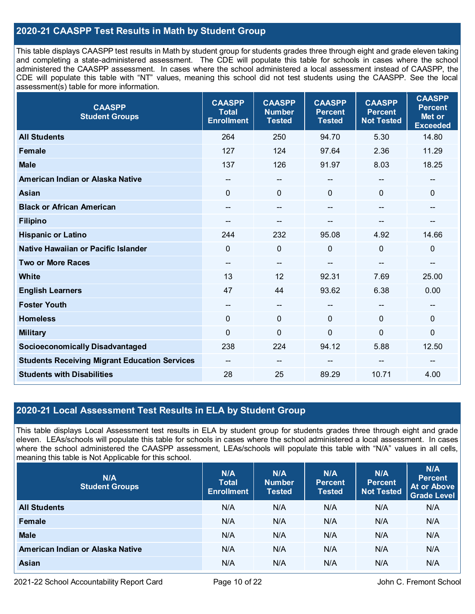### **2020-21 CAASPP Test Results in Math by Student Group**

This table displays CAASPP test results in Math by student group for students grades three through eight and grade eleven taking and completing a state-administered assessment. The CDE will populate this table for schools in cases where the school administered the CAASPP assessment. In cases where the school administered a local assessment instead of CAASPP, the CDE will populate this table with "NT" values, meaning this school did not test students using the CAASPP. See the local assessment(s) table for more information.

| <b>CAASPP</b><br><b>Student Groups</b>               | <b>CAASPP</b><br><b>Total</b><br><b>Enrollment</b> | <b>CAASPP</b><br><b>Number</b><br><b>Tested</b> | <b>CAASPP</b><br><b>Percent</b><br><b>Tested</b> | <b>CAASPP</b><br><b>Percent</b><br><b>Not Tested</b> | <b>CAASPP</b><br><b>Percent</b><br>Met or<br><b>Exceeded</b> |
|------------------------------------------------------|----------------------------------------------------|-------------------------------------------------|--------------------------------------------------|------------------------------------------------------|--------------------------------------------------------------|
| <b>All Students</b>                                  | 264                                                | 250                                             | 94.70                                            | 5.30                                                 | 14.80                                                        |
| Female                                               | 127                                                | 124                                             | 97.64                                            | 2.36                                                 | 11.29                                                        |
| <b>Male</b>                                          | 137                                                | 126                                             | 91.97                                            | 8.03                                                 | 18.25                                                        |
| American Indian or Alaska Native                     | --                                                 | --                                              | --                                               | $\hspace{0.05cm}$ – $\hspace{0.05cm}$                | $\qquad \qquad \qquad \qquad$                                |
| <b>Asian</b>                                         | $\mathbf{0}$                                       | $\mathbf 0$                                     | $\Omega$                                         | 0                                                    | $\mathbf{0}$                                                 |
| <b>Black or African American</b>                     | --                                                 | $\overline{\phantom{a}}$                        | --                                               | $\overline{\phantom{a}}$                             | $\overline{\phantom{m}}$                                     |
| <b>Filipino</b>                                      |                                                    | --                                              |                                                  |                                                      |                                                              |
| <b>Hispanic or Latino</b>                            | 244                                                | 232                                             | 95.08                                            | 4.92                                                 | 14.66                                                        |
| Native Hawaiian or Pacific Islander                  | $\Omega$                                           | $\mathbf 0$                                     | 0                                                | $\overline{0}$                                       | $\mathbf 0$                                                  |
| <b>Two or More Races</b>                             | $-$                                                | --                                              |                                                  |                                                      | $\qquad \qquad -$                                            |
| White                                                | 13                                                 | 12                                              | 92.31                                            | 7.69                                                 | 25.00                                                        |
| <b>English Learners</b>                              | 47                                                 | 44                                              | 93.62                                            | 6.38                                                 | 0.00                                                         |
| <b>Foster Youth</b>                                  | --                                                 | $\overline{\phantom{a}}$                        | --                                               |                                                      | --                                                           |
| <b>Homeless</b>                                      | $\mathbf{0}$                                       | $\mathbf 0$                                     | $\Omega$                                         | 0                                                    | $\mathbf 0$                                                  |
| <b>Military</b>                                      | 0                                                  | $\mathbf 0$                                     | $\mathbf 0$                                      | $\overline{0}$                                       | $\mathbf 0$                                                  |
| <b>Socioeconomically Disadvantaged</b>               | 238                                                | 224                                             | 94.12                                            | 5.88                                                 | 12.50                                                        |
| <b>Students Receiving Migrant Education Services</b> |                                                    | --                                              |                                                  |                                                      |                                                              |
| <b>Students with Disabilities</b>                    | 28                                                 | 25                                              | 89.29                                            | 10.71                                                | 4.00                                                         |

#### **2020-21 Local Assessment Test Results in ELA by Student Group**

This table displays Local Assessment test results in ELA by student group for students grades three through eight and grade eleven. LEAs/schools will populate this table for schools in cases where the school administered a local assessment. In cases where the school administered the CAASPP assessment, LEAs/schools will populate this table with "N/A" values in all cells, meaning this table is Not Applicable for this school.

| N/A<br><b>Student Groups</b>     | N/A<br><b>Total</b><br><b>Enrollment</b> | N/A<br><b>Number</b><br><b>Tested</b> | N/A<br><b>Percent</b><br><b>Tested</b> | N/A<br><b>Percent</b><br>Not Tested | N/A<br><b>Percent</b><br><b>At or Above</b><br><b>Grade Level</b> |
|----------------------------------|------------------------------------------|---------------------------------------|----------------------------------------|-------------------------------------|-------------------------------------------------------------------|
| <b>All Students</b>              | N/A                                      | N/A                                   | N/A                                    | N/A                                 | N/A                                                               |
| Female                           | N/A                                      | N/A                                   | N/A                                    | N/A                                 | N/A                                                               |
| <b>Male</b>                      | N/A                                      | N/A                                   | N/A                                    | N/A                                 | N/A                                                               |
| American Indian or Alaska Native | N/A                                      | N/A                                   | N/A                                    | N/A                                 | N/A                                                               |
| <b>Asian</b>                     | N/A                                      | N/A                                   | N/A                                    | N/A                                 | N/A                                                               |

2021-22 School Accountability Report Card Page 10 of 22 John C. Fremont School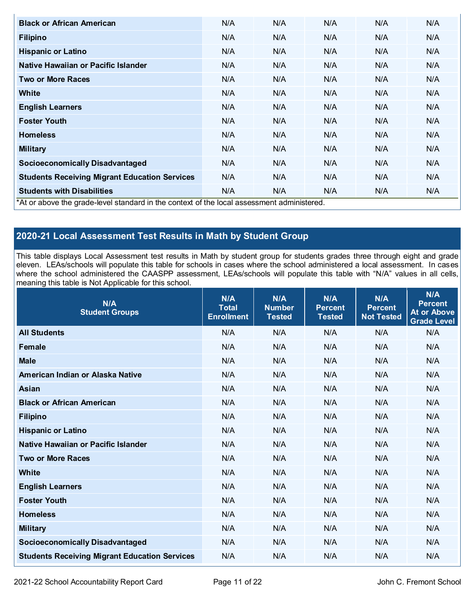| <b>Black or African American</b>                                                          | N/A | N/A | N/A | N/A | N/A |
|-------------------------------------------------------------------------------------------|-----|-----|-----|-----|-----|
| <b>Filipino</b>                                                                           | N/A | N/A | N/A | N/A | N/A |
| <b>Hispanic or Latino</b>                                                                 | N/A | N/A | N/A | N/A | N/A |
| Native Hawaiian or Pacific Islander                                                       | N/A | N/A | N/A | N/A | N/A |
| <b>Two or More Races</b>                                                                  | N/A | N/A | N/A | N/A | N/A |
| <b>White</b>                                                                              | N/A | N/A | N/A | N/A | N/A |
| <b>English Learners</b>                                                                   | N/A | N/A | N/A | N/A | N/A |
| <b>Foster Youth</b>                                                                       | N/A | N/A | N/A | N/A | N/A |
| <b>Homeless</b>                                                                           | N/A | N/A | N/A | N/A | N/A |
| <b>Military</b>                                                                           | N/A | N/A | N/A | N/A | N/A |
| <b>Socioeconomically Disadvantaged</b>                                                    | N/A | N/A | N/A | N/A | N/A |
| <b>Students Receiving Migrant Education Services</b>                                      | N/A | N/A | N/A | N/A | N/A |
| <b>Students with Disabilities</b>                                                         | N/A | N/A | N/A | N/A | N/A |
| *At or above the grade-level standard in the context of the local assessment administered |     |     |     |     |     |

\*At or above the grade-level standard in the context of the local assessment administered.

## **2020-21 Local Assessment Test Results in Math by Student Group**

This table displays Local Assessment test results in Math by student group for students grades three through eight and grade eleven. LEAs/schools will populate this table for schools in cases where the school administered a local assessment. In cases where the school administered the CAASPP assessment, LEAs/schools will populate this table with "N/A" values in all cells, meaning this table is Not Applicable for this school.

| N/A<br><b>Student Groups</b>                         | N/A<br><b>Total</b><br><b>Enrollment</b> | N/A<br><b>Number</b><br><b>Tested</b> | N/A<br><b>Percent</b><br><b>Tested</b> | N/A<br><b>Percent</b><br><b>Not Tested</b> | N/A<br><b>Percent</b><br><b>At or Above</b><br><b>Grade Level</b> |
|------------------------------------------------------|------------------------------------------|---------------------------------------|----------------------------------------|--------------------------------------------|-------------------------------------------------------------------|
| <b>All Students</b>                                  | N/A                                      | N/A                                   | N/A                                    | N/A                                        | N/A                                                               |
| <b>Female</b>                                        | N/A                                      | N/A                                   | N/A                                    | N/A                                        | N/A                                                               |
| <b>Male</b>                                          | N/A                                      | N/A                                   | N/A                                    | N/A                                        | N/A                                                               |
| American Indian or Alaska Native                     | N/A                                      | N/A                                   | N/A                                    | N/A                                        | N/A                                                               |
| <b>Asian</b>                                         | N/A                                      | N/A                                   | N/A                                    | N/A                                        | N/A                                                               |
| <b>Black or African American</b>                     | N/A                                      | N/A                                   | N/A                                    | N/A                                        | N/A                                                               |
| <b>Filipino</b>                                      | N/A                                      | N/A                                   | N/A                                    | N/A                                        | N/A                                                               |
| <b>Hispanic or Latino</b>                            | N/A                                      | N/A                                   | N/A                                    | N/A                                        | N/A                                                               |
| Native Hawaiian or Pacific Islander                  | N/A                                      | N/A                                   | N/A                                    | N/A                                        | N/A                                                               |
| <b>Two or More Races</b>                             | N/A                                      | N/A                                   | N/A                                    | N/A                                        | N/A                                                               |
| <b>White</b>                                         | N/A                                      | N/A                                   | N/A                                    | N/A                                        | N/A                                                               |
| <b>English Learners</b>                              | N/A                                      | N/A                                   | N/A                                    | N/A                                        | N/A                                                               |
| <b>Foster Youth</b>                                  | N/A                                      | N/A                                   | N/A                                    | N/A                                        | N/A                                                               |
| <b>Homeless</b>                                      | N/A                                      | N/A                                   | N/A                                    | N/A                                        | N/A                                                               |
| <b>Military</b>                                      | N/A                                      | N/A                                   | N/A                                    | N/A                                        | N/A                                                               |
| <b>Socioeconomically Disadvantaged</b>               | N/A                                      | N/A                                   | N/A                                    | N/A                                        | N/A                                                               |
| <b>Students Receiving Migrant Education Services</b> | N/A                                      | N/A                                   | N/A                                    | N/A                                        | N/A                                                               |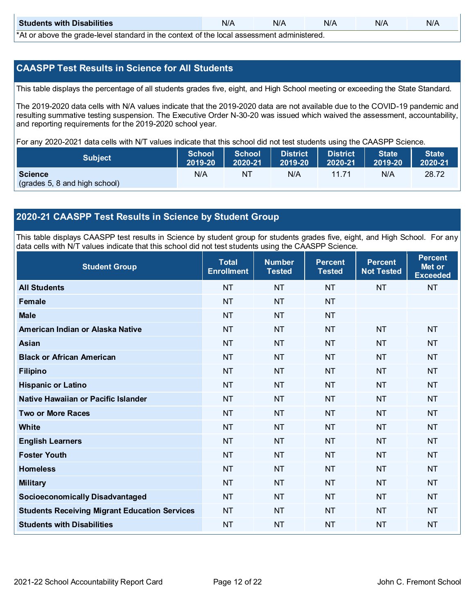| <b>Students with Disabilities</b>                                                                 | N/A | N/A | N/A | N/A | N/A |  |  |
|---------------------------------------------------------------------------------------------------|-----|-----|-----|-----|-----|--|--|
| $*$ $\wedge$ ar above the arade lovel standard in the context of the lead coses ment administered |     |     |     |     |     |  |  |

\*At or above the grade-level standard in the context of the local assessment administered.

#### **CAASPP Test Results in Science for All Students**

This table displays the percentage of all students grades five, eight, and High School meeting or exceeding the State Standard.

The 2019-2020 data cells with N/A values indicate that the 2019-2020 data are not available due to the COVID-19 pandemic and resulting summative testing suspension. The Executive Order N-30-20 was issued which waived the assessment, accountability, and reporting requirements for the 2019-2020 school year.

For any 2020-2021 data cells with N/T values indicate that this school did not test students using the CAASPP Science.

| <b>Subject</b>                                  | School  | <b>School</b> | <b>District</b> | <b>District</b> | <b>State</b>           | <b>State</b> |
|-------------------------------------------------|---------|---------------|-----------------|-----------------|------------------------|--------------|
|                                                 | 2019-20 | 2020-21       | 2019-20         | $2020 - 21$     | $\blacksquare$ 2019-20 | 2020-21      |
| <b>Science</b><br>(grades 5, 8 and high school) | N/A     | NT            | N/A             | 11 71           | N/A                    | 28.72        |

#### **2020-21 CAASPP Test Results in Science by Student Group**

This table displays CAASPP test results in Science by student group for students grades five, eight, and High School. For any data cells with N/T values indicate that this school did not test students using the CAASPP Science.

| <b>Student Group</b>                                 | <b>Total</b><br><b>Enrollment</b> | <b>Number</b><br><b>Tested</b> | <b>Percent</b><br><b>Tested</b> | <b>Percent</b><br><b>Not Tested</b> | <b>Percent</b><br>Met or<br><b>Exceeded</b> |
|------------------------------------------------------|-----------------------------------|--------------------------------|---------------------------------|-------------------------------------|---------------------------------------------|
| <b>All Students</b>                                  | <b>NT</b>                         | <b>NT</b>                      | <b>NT</b>                       | <b>NT</b>                           | <b>NT</b>                                   |
| <b>Female</b>                                        | <b>NT</b>                         | <b>NT</b>                      | <b>NT</b>                       |                                     |                                             |
| <b>Male</b>                                          | <b>NT</b>                         | <b>NT</b>                      | <b>NT</b>                       |                                     |                                             |
| American Indian or Alaska Native                     | <b>NT</b>                         | <b>NT</b>                      | <b>NT</b>                       | <b>NT</b>                           | <b>NT</b>                                   |
| <b>Asian</b>                                         | <b>NT</b>                         | <b>NT</b>                      | <b>NT</b>                       | <b>NT</b>                           | <b>NT</b>                                   |
| <b>Black or African American</b>                     | <b>NT</b>                         | <b>NT</b>                      | <b>NT</b>                       | <b>NT</b>                           | <b>NT</b>                                   |
| <b>Filipino</b>                                      | <b>NT</b>                         | <b>NT</b>                      | <b>NT</b>                       | <b>NT</b>                           | <b>NT</b>                                   |
| <b>Hispanic or Latino</b>                            | <b>NT</b>                         | <b>NT</b>                      | <b>NT</b>                       | <b>NT</b>                           | <b>NT</b>                                   |
| Native Hawaiian or Pacific Islander                  | <b>NT</b>                         | <b>NT</b>                      | <b>NT</b>                       | <b>NT</b>                           | <b>NT</b>                                   |
| <b>Two or More Races</b>                             | <b>NT</b>                         | <b>NT</b>                      | <b>NT</b>                       | <b>NT</b>                           | <b>NT</b>                                   |
| <b>White</b>                                         | <b>NT</b>                         | <b>NT</b>                      | <b>NT</b>                       | <b>NT</b>                           | <b>NT</b>                                   |
| <b>English Learners</b>                              | <b>NT</b>                         | <b>NT</b>                      | <b>NT</b>                       | <b>NT</b>                           | <b>NT</b>                                   |
| <b>Foster Youth</b>                                  | <b>NT</b>                         | <b>NT</b>                      | <b>NT</b>                       | <b>NT</b>                           | <b>NT</b>                                   |
| <b>Homeless</b>                                      | <b>NT</b>                         | <b>NT</b>                      | <b>NT</b>                       | <b>NT</b>                           | <b>NT</b>                                   |
| <b>Military</b>                                      | <b>NT</b>                         | <b>NT</b>                      | <b>NT</b>                       | <b>NT</b>                           | <b>NT</b>                                   |
| <b>Socioeconomically Disadvantaged</b>               | <b>NT</b>                         | <b>NT</b>                      | <b>NT</b>                       | <b>NT</b>                           | <b>NT</b>                                   |
| <b>Students Receiving Migrant Education Services</b> | <b>NT</b>                         | <b>NT</b>                      | <b>NT</b>                       | <b>NT</b>                           | <b>NT</b>                                   |
| <b>Students with Disabilities</b>                    | <b>NT</b>                         | <b>NT</b>                      | <b>NT</b>                       | <b>NT</b>                           | <b>NT</b>                                   |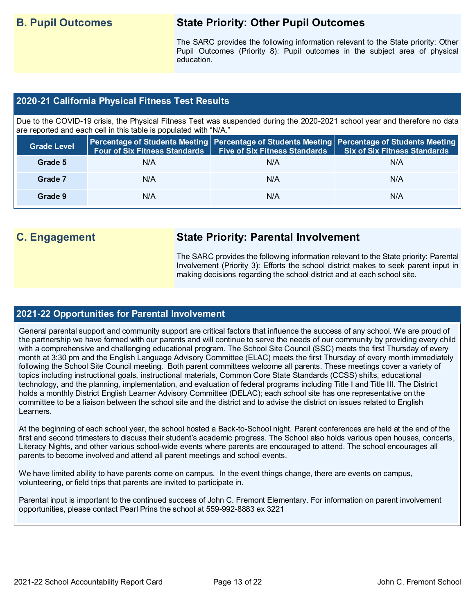# **B. Pupil Outcomes State Priority: Other Pupil Outcomes**

The SARC provides the following information relevant to the State priority: Other Pupil Outcomes (Priority 8): Pupil outcomes in the subject area of physical education.

#### **2020-21 California Physical Fitness Test Results**

Due to the COVID-19 crisis, the Physical Fitness Test was suspended during the 2020-2021 school year and therefore no data are reported and each cell in this table is populated with "N/A."

| <b>Grade Level</b> | <b>Four of Six Fitness Standards</b> | Five of Six Fitness Standards   Six of Six Fitness Standards | Percentage of Students Meeting Percentage of Students Meeting Percentage of Students Meeting |
|--------------------|--------------------------------------|--------------------------------------------------------------|----------------------------------------------------------------------------------------------|
| Grade 5            | N/A                                  | N/A                                                          | N/A                                                                                          |
| Grade 7            | N/A                                  | N/A                                                          | N/A                                                                                          |
| Grade 9            | N/A                                  | N/A                                                          | N/A                                                                                          |

# **C. Engagement State Priority: Parental Involvement**

The SARC provides the following information relevant to the State priority: Parental Involvement (Priority 3): Efforts the school district makes to seek parent input in making decisions regarding the school district and at each school site.

#### **2021-22 Opportunities for Parental Involvement**

General parental support and community support are critical factors that influence the success of any school. We are proud of the partnership we have formed with our parents and will continue to serve the needs of our community by providing every child with a comprehensive and challenging educational program. The School Site Council (SSC) meets the first Thursday of every month at 3:30 pm and the English Language Advisory Committee (ELAC) meets the first Thursday of every month immediately following the School Site Council meeting. Both parent committees welcome all parents. These meetings cover a variety of topics including instructional goals, instructional materials, Common Core State Standards (CCSS) shifts, educational technology, and the planning, implementation, and evaluation of federal programs including Title I and Title III. The District holds a monthly District English Learner Advisory Committee (DELAC); each school site has one representative on the committee to be a liaison between the school site and the district and to advise the district on issues related to English Learners.

At the beginning of each school year, the school hosted a Back-to-School night. Parent conferences are held at the end of the first and second trimesters to discuss their student's academic progress. The School also holds various open houses, concerts, Literacy Nights, and other various school-wide events where parents are encouraged to attend. The school encourages all parents to become involved and attend all parent meetings and school events.

We have limited ability to have parents come on campus. In the event things change, there are events on campus, volunteering, or field trips that parents are invited to participate in.

Parental input is important to the continued success of John C. Fremont Elementary. For information on parent involvement opportunities, please contact Pearl Prins the school at 559-992-8883 ex 3221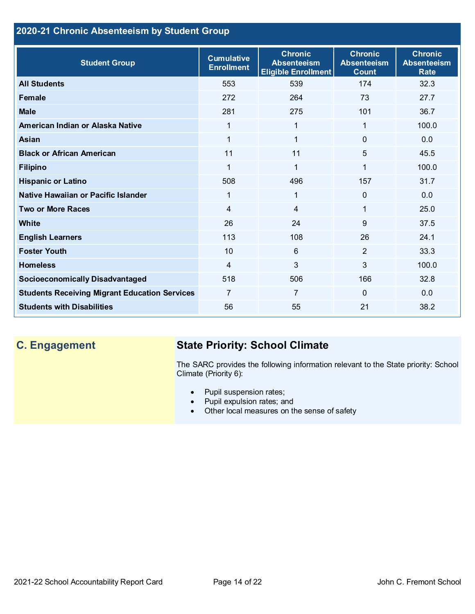## **2020-21 Chronic Absenteeism by Student Group**

| <b>Student Group</b>                                 | <b>Cumulative</b><br><b>Enrollment</b> | <b>Chronic</b><br><b>Absenteeism</b><br><b>Eligible Enrollment</b> | <b>Chronic</b><br><b>Absenteeism</b><br><b>Count</b> | <b>Chronic</b><br><b>Absenteeism</b><br><b>Rate</b> |
|------------------------------------------------------|----------------------------------------|--------------------------------------------------------------------|------------------------------------------------------|-----------------------------------------------------|
| <b>All Students</b>                                  | 553                                    | 539                                                                | 174                                                  | 32.3                                                |
| <b>Female</b>                                        | 272                                    | 264                                                                | 73                                                   | 27.7                                                |
| <b>Male</b>                                          | 281                                    | 275                                                                | 101                                                  | 36.7                                                |
| American Indian or Alaska Native                     | 1                                      | 1                                                                  | 1                                                    | 100.0                                               |
| <b>Asian</b>                                         |                                        | 1                                                                  | $\Omega$                                             | 0.0                                                 |
| <b>Black or African American</b>                     | 11                                     | 11                                                                 | 5                                                    | 45.5                                                |
| <b>Filipino</b>                                      | 1                                      | $\mathbf{1}$                                                       | 1                                                    | 100.0                                               |
| <b>Hispanic or Latino</b>                            | 508                                    | 496                                                                | 157                                                  | 31.7                                                |
| Native Hawaiian or Pacific Islander                  | 1                                      | $\mathbf{1}$                                                       | 0                                                    | 0.0                                                 |
| <b>Two or More Races</b>                             | 4                                      | $\overline{4}$                                                     | 1                                                    | 25.0                                                |
| <b>White</b>                                         | 26                                     | 24                                                                 | 9                                                    | 37.5                                                |
| <b>English Learners</b>                              | 113                                    | 108                                                                | 26                                                   | 24.1                                                |
| <b>Foster Youth</b>                                  | 10                                     | $6\phantom{1}$                                                     | $\overline{2}$                                       | 33.3                                                |
| <b>Homeless</b>                                      | 4                                      | 3                                                                  | 3                                                    | 100.0                                               |
| <b>Socioeconomically Disadvantaged</b>               | 518                                    | 506                                                                | 166                                                  | 32.8                                                |
| <b>Students Receiving Migrant Education Services</b> | 7                                      | $\overline{7}$                                                     | $\Omega$                                             | 0.0                                                 |
| <b>Students with Disabilities</b>                    | 56                                     | 55                                                                 | 21                                                   | 38.2                                                |

# **C. Engagement State Priority: School Climate**

The SARC provides the following information relevant to the State priority: School Climate (Priority 6):

- Pupil suspension rates;
- Pupil expulsion rates; and
- Other local measures on the sense of safety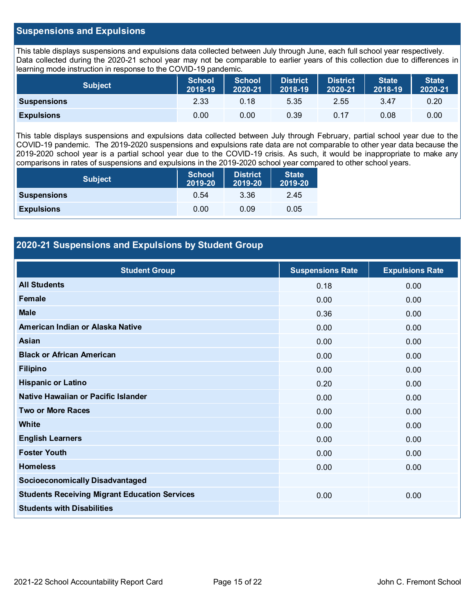#### **Suspensions and Expulsions**

This table displays suspensions and expulsions data collected between July through June, each full school year respectively. Data collected during the 2020-21 school year may not be comparable to earlier years of this collection due to differences in learning mode instruction in response to the COVID-19 pandemic.

| <b>Subject</b>     | <b>School</b><br>2018-19 | <b>School</b><br>2020-21 | <b>District</b><br>2018-19 | <b>District</b><br>2020-21 | <b>State</b><br>2018-19 | <b>State</b><br>2020-21 |
|--------------------|--------------------------|--------------------------|----------------------------|----------------------------|-------------------------|-------------------------|
| <b>Suspensions</b> | 2.33                     | 0.18                     | 5.35                       | 2.55                       | 3.47                    | 0.20                    |
| <b>Expulsions</b>  | 0.00                     | 0.00                     | 0.39                       | 0.17                       | 0.08                    | 0.00                    |

This table displays suspensions and expulsions data collected between July through February, partial school year due to the COVID-19 pandemic. The 2019-2020 suspensions and expulsions rate data are not comparable to other year data because the 2019-2020 school year is a partial school year due to the COVID-19 crisis. As such, it would be inappropriate to make any comparisons in rates of suspensions and expulsions in the 2019-2020 school year compared to other school years.

| <b>Subject</b>     | <b>School</b><br>2019-20 | <b>District</b><br>2019-20 | <b>State</b><br>2019-20 |
|--------------------|--------------------------|----------------------------|-------------------------|
| <b>Suspensions</b> | 0.54                     | 3.36                       | 2.45                    |
| <b>Expulsions</b>  | 0.00                     | 0.09                       | 0.05                    |

#### **2020-21 Suspensions and Expulsions by Student Group**

| <b>Student Group</b>                                 | <b>Suspensions Rate</b> | <b>Expulsions Rate</b> |
|------------------------------------------------------|-------------------------|------------------------|
| <b>All Students</b>                                  | 0.18                    | 0.00                   |
| <b>Female</b>                                        | 0.00                    | 0.00                   |
| <b>Male</b>                                          | 0.36                    | 0.00                   |
| American Indian or Alaska Native                     | 0.00                    | 0.00                   |
| Asian                                                | 0.00                    | 0.00                   |
| <b>Black or African American</b>                     | 0.00                    | 0.00                   |
| <b>Filipino</b>                                      | 0.00                    | 0.00                   |
| <b>Hispanic or Latino</b>                            | 0.20                    | 0.00                   |
| Native Hawaiian or Pacific Islander                  | 0.00                    | 0.00                   |
| <b>Two or More Races</b>                             | 0.00                    | 0.00                   |
| White                                                | 0.00                    | 0.00                   |
| <b>English Learners</b>                              | 0.00                    | 0.00                   |
| <b>Foster Youth</b>                                  | 0.00                    | 0.00                   |
| <b>Homeless</b>                                      | 0.00                    | 0.00                   |
| <b>Socioeconomically Disadvantaged</b>               |                         |                        |
| <b>Students Receiving Migrant Education Services</b> | 0.00                    | 0.00                   |
| <b>Students with Disabilities</b>                    |                         |                        |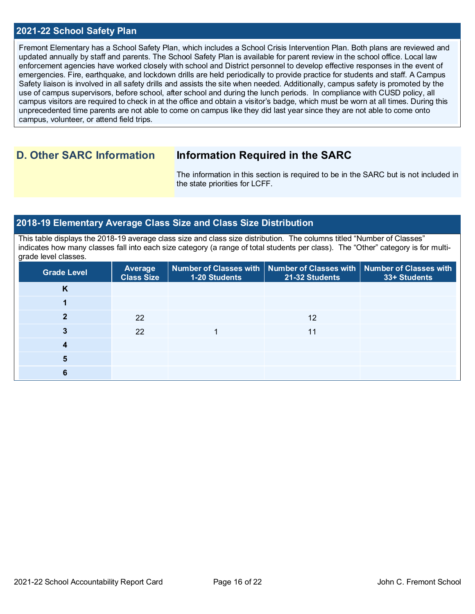#### **2021-22 School Safety Plan**

Fremont Elementary has a School Safety Plan, which includes a School Crisis Intervention Plan. Both plans are reviewed and updated annually by staff and parents. The School Safety Plan is available for parent review in the school office. Local law enforcement agencies have worked closely with school and District personnel to develop effective responses in the event of emergencies. Fire, earthquake, and lockdown drills are held periodically to provide practice for students and staff. A Campus Safety liaison is involved in all safety drills and assists the site when needed. Additionally, campus safety is promoted by the use of campus supervisors, before school, after school and during the lunch periods. In compliance with CUSD policy, all campus visitors are required to check in at the office and obtain a visitor's badge, which must be worn at all times. During this unprecedented time parents are not able to come on campus like they did last year since they are not able to come onto campus, volunteer, or attend field trips.

# **D. Other SARC Information Information Required in the SARC**

The information in this section is required to be in the SARC but is not included in the state priorities for LCFF.

#### **2018-19 Elementary Average Class Size and Class Size Distribution**

This table displays the 2018-19 average class size and class size distribution. The columns titled "Number of Classes" indicates how many classes fall into each size category (a range of total students per class). The "Other" category is for multigrade level classes.

| <b>Grade Level</b> | <b>Average</b><br><b>Class Size</b> | 1-20 Students | Number of Classes with   Number of Classes with   Number of Classes with<br>21-32 Students | 33+ Students |
|--------------------|-------------------------------------|---------------|--------------------------------------------------------------------------------------------|--------------|
| n.                 |                                     |               |                                                                                            |              |
|                    |                                     |               |                                                                                            |              |
|                    | 22                                  |               | 12                                                                                         |              |
|                    | 22                                  |               | 11                                                                                         |              |
|                    |                                     |               |                                                                                            |              |
| 5                  |                                     |               |                                                                                            |              |
| о                  |                                     |               |                                                                                            |              |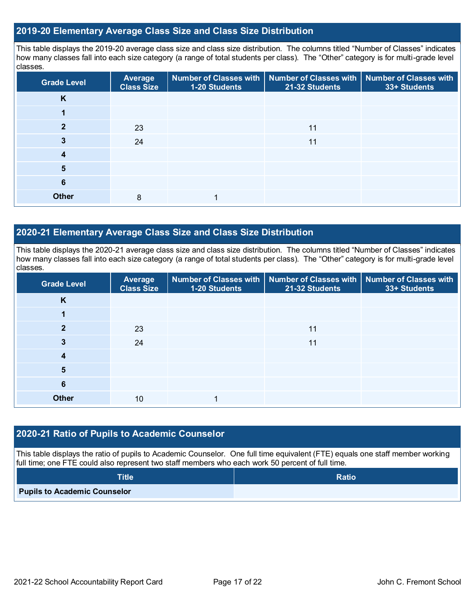#### **2019-20 Elementary Average Class Size and Class Size Distribution**

This table displays the 2019-20 average class size and class size distribution. The columns titled "Number of Classes" indicates how many classes fall into each size category (a range of total students per class). The "Other" category is for multi-grade level classes.

| <b>Grade Level</b> | Average<br><b>Class Size</b> | 1-20 Students | Number of Classes with   Number of Classes with   Number of Classes with<br>21-32 Students | 33+ Students |
|--------------------|------------------------------|---------------|--------------------------------------------------------------------------------------------|--------------|
| K                  |                              |               |                                                                                            |              |
|                    |                              |               |                                                                                            |              |
|                    | 23                           |               | 11                                                                                         |              |
|                    | 24                           |               | 11                                                                                         |              |
| 4                  |                              |               |                                                                                            |              |
| 5                  |                              |               |                                                                                            |              |
| 6                  |                              |               |                                                                                            |              |
| <b>Other</b>       | 8                            |               |                                                                                            |              |

#### **2020-21 Elementary Average Class Size and Class Size Distribution**

This table displays the 2020-21 average class size and class size distribution. The columns titled "Number of Classes" indicates how many classes fall into each size category (a range of total students per class). The "Other" category is for multi-grade level classes.

| <b>Grade Level</b> | Average<br><b>Class Size</b> | 1-20 Students | Number of Classes with   Number of Classes with   Number of Classes with<br>21-32 Students | 33+ Students |
|--------------------|------------------------------|---------------|--------------------------------------------------------------------------------------------|--------------|
| K                  |                              |               |                                                                                            |              |
|                    |                              |               |                                                                                            |              |
| 2                  | 23                           |               | 11                                                                                         |              |
| 3                  | 24                           |               | 11                                                                                         |              |
| 4                  |                              |               |                                                                                            |              |
| 5                  |                              |               |                                                                                            |              |
| 6                  |                              |               |                                                                                            |              |
| <b>Other</b>       | 10                           |               |                                                                                            |              |

### **2020-21 Ratio of Pupils to Academic Counselor**

This table displays the ratio of pupils to Academic Counselor. One full time equivalent (FTE) equals one staff member working full time; one FTE could also represent two staff members who each work 50 percent of full time.

| <b>Title</b>                        | Ratio |
|-------------------------------------|-------|
| <b>Pupils to Academic Counselor</b> |       |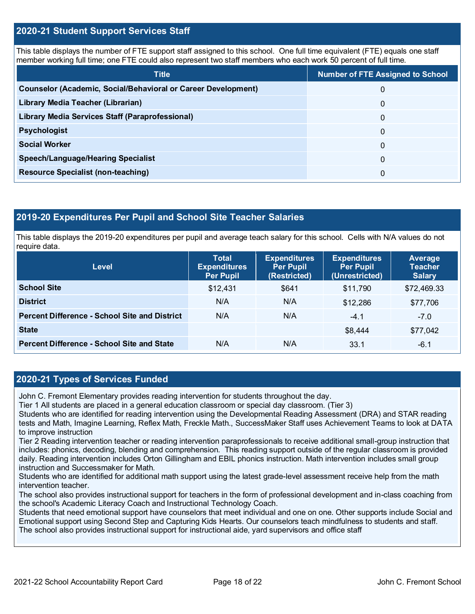#### **2020-21 Student Support Services Staff**

This table displays the number of FTE support staff assigned to this school. One full time equivalent (FTE) equals one staff member working full time; one FTE could also represent two staff members who each work 50 percent of full time.

| <b>Title</b>                                                         | <b>Number of FTE Assigned to School</b> |
|----------------------------------------------------------------------|-----------------------------------------|
| <b>Counselor (Academic, Social/Behavioral or Career Development)</b> | 0                                       |
| Library Media Teacher (Librarian)                                    | $\mathbf{0}$                            |
| Library Media Services Staff (Paraprofessional)                      | $\Omega$                                |
| <b>Psychologist</b>                                                  | $\Omega$                                |
| <b>Social Worker</b>                                                 | $\Omega$                                |
| <b>Speech/Language/Hearing Specialist</b>                            | $\Omega$                                |
| <b>Resource Specialist (non-teaching)</b>                            | $\Omega$                                |

#### **2019-20 Expenditures Per Pupil and School Site Teacher Salaries**

This table displays the 2019-20 expenditures per pupil and average teach salary for this school. Cells with N/A values do not require data.

| <b>Level</b>                                         | <b>Total</b><br><b>Expenditures</b><br><b>Per Pupil</b> | <b>Expenditures</b><br><b>Per Pupil</b><br>(Restricted) | <b>Expenditures</b><br><b>Per Pupil</b><br>(Unrestricted) | Average<br><b>Teacher</b><br><b>Salary</b> |
|------------------------------------------------------|---------------------------------------------------------|---------------------------------------------------------|-----------------------------------------------------------|--------------------------------------------|
| <b>School Site</b>                                   | \$12,431                                                | \$641                                                   | \$11,790                                                  | \$72,469.33                                |
| <b>District</b>                                      | N/A                                                     | N/A                                                     | \$12,286                                                  | \$77,706                                   |
| <b>Percent Difference - School Site and District</b> | N/A                                                     | N/A                                                     | $-4.1$                                                    | $-7.0$                                     |
| <b>State</b>                                         |                                                         |                                                         | \$8,444                                                   | \$77,042                                   |
| <b>Percent Difference - School Site and State</b>    | N/A                                                     | N/A                                                     | 33.1                                                      | $-6.1$                                     |

#### **2020-21 Types of Services Funded**

John C. Fremont Elementary provides reading intervention for students throughout the day.

Tier 1 All students are placed in a general education classroom or special day classroom. (Tier 3)

Students who are identified for reading intervention using the Developmental Reading Assessment (DRA) and STAR reading tests and Math, Imagine Learning, Reflex Math, Freckle Math., SuccessMaker Staff uses Achievement Teams to look at DATA to improve instruction

Tier 2 Reading intervention teacher or reading intervention paraprofessionals to receive additional small-group instruction that includes: phonics, decoding, blending and comprehension. This reading support outside of the regular classroom is provided daily. Reading intervention includes Orton Gillingham and EBIL phonics instruction. Math intervention includes small group instruction and Successmaker for Math.

Students who are identified for additional math support using the latest grade-level assessment receive help from the math intervention teacher.

The school also provides instructional support for teachers in the form of professional development and in-class coaching from the school's Academic Literacy Coach and Instructional Technology Coach.

Students that need emotional support have counselors that meet individual and one on one. Other supports include Social and Emotional support using Second Step and Capturing Kids Hearts. Our counselors teach mindfulness to students and staff. The school also provides instructional support for instructional aide, yard supervisors and office staff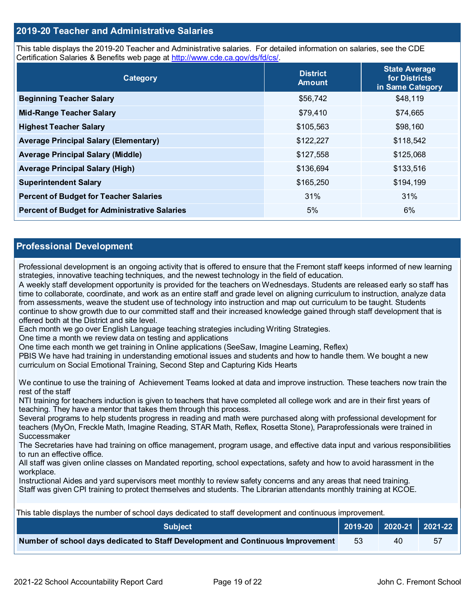#### **2019-20 Teacher and Administrative Salaries**

This table displays the 2019-20 Teacher and Administrative salaries. For detailed information on salaries, see the CDE Certification Salaries & Benefits web page at [http://www.cde.ca.gov/ds/fd/cs/.](http://www.cde.ca.gov/ds/fd/cs/)

| Category                                             | <b>District</b><br><b>Amount</b> | <b>State Average</b><br>for Districts<br>in Same Category |
|------------------------------------------------------|----------------------------------|-----------------------------------------------------------|
| <b>Beginning Teacher Salary</b>                      | \$56,742                         | \$48,119                                                  |
| <b>Mid-Range Teacher Salary</b>                      | \$79,410                         | \$74,665                                                  |
| <b>Highest Teacher Salary</b>                        | \$105,563                        | \$98,160                                                  |
| <b>Average Principal Salary (Elementary)</b>         | \$122,227                        | \$118,542                                                 |
| <b>Average Principal Salary (Middle)</b>             | \$127,558                        | \$125,068                                                 |
| <b>Average Principal Salary (High)</b>               | \$136,694                        | \$133,516                                                 |
| <b>Superintendent Salary</b>                         | \$165,250                        | \$194,199                                                 |
| <b>Percent of Budget for Teacher Salaries</b>        | 31%                              | 31%                                                       |
| <b>Percent of Budget for Administrative Salaries</b> | 5%                               | 6%                                                        |

#### **Professional Development**

Professional development is an ongoing activity that is offered to ensure that the Fremont staff keeps informed of new learning strategies, innovative teaching techniques, and the newest technology in the field of education.

A weekly staff development opportunity is provided for the teachers on Wednesdays. Students are released early so staff has time to collaborate, coordinate, and work as an entire staff and grade level on aligning curriculum to instruction, analyze data from assessments, weave the student use of technology into instruction and map out curriculum to be taught. Students continue to show growth due to our committed staff and their increased knowledge gained through staff development that is offered both at the District and site level.

Each month we go over English Language teaching strategies including Writing Strategies.

One time a month we review data on testing and applications

One time each month we get training in Online applications (SeeSaw, Imagine Learning, Reflex)

PBIS We have had training in understanding emotional issues and students and how to handle them. We bought a new curriculum on Social Emotional Training, Second Step and Capturing Kids Hearts

We continue to use the training of Achievement Teams looked at data and improve instruction. These teachers now train the rest of the staff

NTI training for teachers induction is given to teachers that have completed all college work and are in their first years of teaching. They have a mentor that takes them through this process.

Several programs to help students progress in reading and math were purchased along with professional development for teachers (MyOn, Freckle Math, Imagine Reading, STAR Math, Reflex, Rosetta Stone), Paraprofessionals were trained in **Successmaker** 

The Secretaries have had training on office management, program usage, and effective data input and various responsibilities to run an effective office.

All staff was given online classes on Mandated reporting, school expectations, safety and how to avoid harassment in the workplace.

Instructional Aides and yard supervisors meet monthly to review safety concerns and any areas that need training. Staff was given CPI training to protect themselves and students. The Librarian attendants monthly training at KCOE.

| <b>Subiect</b> \                                                                |     | 2019-20   2020-21   2021-22 |    |
|---------------------------------------------------------------------------------|-----|-----------------------------|----|
| Number of school days dedicated to Staff Development and Continuous Improvement | -53 | 40                          | 57 |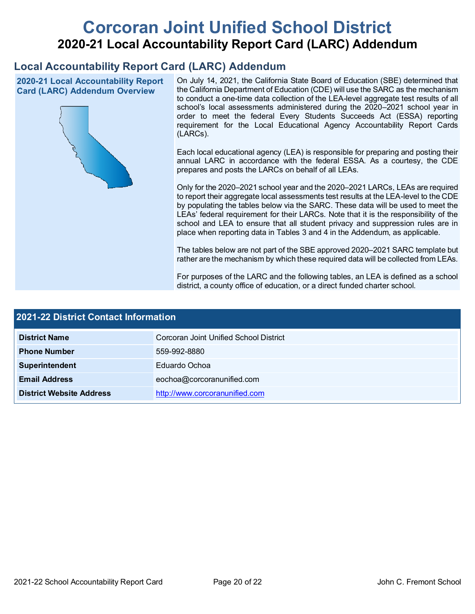# **Corcoran Joint Unified School District 2020-21 Local Accountability Report Card (LARC) Addendum**

# **Local Accountability Report Card (LARC) Addendum**

**2020-21 Local Accountability Report Card (LARC) Addendum Overview**



On July 14, 2021, the California State Board of Education (SBE) determined that the California Department of Education (CDE) will use the SARC as the mechanism to conduct a one-time data collection of the LEA-level aggregate test results of all school's local assessments administered during the 2020–2021 school year in order to meet the federal Every Students Succeeds Act (ESSA) reporting requirement for the Local Educational Agency Accountability Report Cards (LARCs).

Each local educational agency (LEA) is responsible for preparing and posting their annual LARC in accordance with the federal ESSA. As a courtesy, the CDE prepares and posts the LARCs on behalf of all LEAs.

Only for the 2020–2021 school year and the 2020–2021 LARCs, LEAs are required to report their aggregate local assessments test results at the LEA-level to the CDE by populating the tables below via the SARC. These data will be used to meet the LEAs' federal requirement for their LARCs. Note that it is the responsibility of the school and LEA to ensure that all student privacy and suppression rules are in place when reporting data in Tables 3 and 4 in the Addendum, as applicable.

The tables below are not part of the SBE approved 2020–2021 SARC template but rather are the mechanism by which these required data will be collected from LEAs.

For purposes of the LARC and the following tables, an LEA is defined as a school district, a county office of education, or a direct funded charter school.

| 2021-22 District Contact Information |                                        |  |  |  |
|--------------------------------------|----------------------------------------|--|--|--|
| <b>District Name</b>                 | Corcoran Joint Unified School District |  |  |  |
| <b>Phone Number</b>                  | 559-992-8880                           |  |  |  |
| Superintendent                       | Eduardo Ochoa                          |  |  |  |
| <b>Email Address</b>                 | eochoa@corcoranunified.com             |  |  |  |
| <b>District Website Address</b>      | http://www.corcoranunified.com         |  |  |  |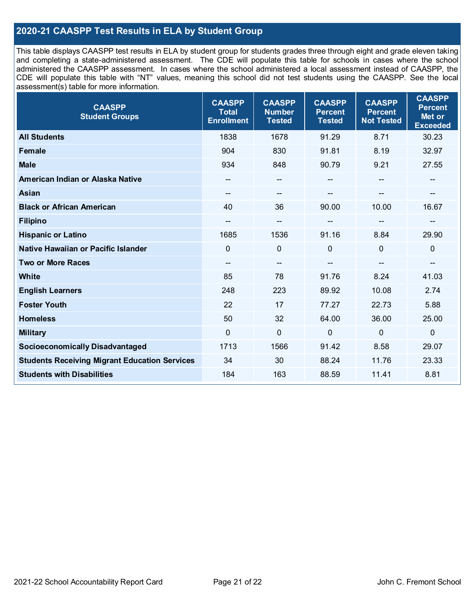### **2020-21 CAASPP Test Results in ELA by Student Group**

This table displays CAASPP test results in ELA by student group for students grades three through eight and grade eleven taking and completing a state-administered assessment. The CDE will populate this table for schools in cases where the school administered the CAASPP assessment. In cases where the school administered a local assessment instead of CAASPP, the CDE will populate this table with "NT" values, meaning this school did not test students using the CAASPP. See the local assessment(s) table for more information.

| <b>CAASPP</b><br><b>Student Groups</b>               | <b>CAASPP</b><br><b>Total</b><br><b>Enrollment</b> | <b>CAASPP</b><br><b>Number</b><br><b>Tested</b> | <b>CAASPP</b><br><b>Percent</b><br><b>Tested</b> | <b>CAASPP</b><br><b>Percent</b><br><b>Not Tested</b> | <b>CAASPP</b><br><b>Percent</b><br>Met or<br><b>Exceeded</b> |
|------------------------------------------------------|----------------------------------------------------|-------------------------------------------------|--------------------------------------------------|------------------------------------------------------|--------------------------------------------------------------|
| <b>All Students</b>                                  | 1838                                               | 1678                                            | 91.29                                            | 8.71                                                 | 30.23                                                        |
| Female                                               | 904                                                | 830                                             | 91.81                                            | 8.19                                                 | 32.97                                                        |
| <b>Male</b>                                          | 934                                                | 848                                             | 90.79                                            | 9.21                                                 | 27.55                                                        |
| American Indian or Alaska Native                     | --                                                 | --                                              | --                                               | $\mathbf{m}$                                         | --                                                           |
| <b>Asian</b>                                         | --                                                 | --                                              |                                                  |                                                      | --                                                           |
| <b>Black or African American</b>                     | 40                                                 | 36                                              | 90.00                                            | 10.00                                                | 16.67                                                        |
| <b>Filipino</b>                                      | --                                                 | $\overline{\phantom{a}}$                        |                                                  | $\overline{\phantom{a}}$                             | --                                                           |
| <b>Hispanic or Latino</b>                            | 1685                                               | 1536                                            | 91.16                                            | 8.84                                                 | 29.90                                                        |
| Native Hawaiian or Pacific Islander                  | $\mathbf 0$                                        | $\mathbf 0$                                     | $\mathbf 0$                                      | $\mathbf 0$                                          | $\mathbf 0$                                                  |
| <b>Two or More Races</b>                             | --                                                 | --                                              |                                                  |                                                      | $\qquad \qquad \blacksquare$                                 |
| <b>White</b>                                         | 85                                                 | 78                                              | 91.76                                            | 8.24                                                 | 41.03                                                        |
| <b>English Learners</b>                              | 248                                                | 223                                             | 89.92                                            | 10.08                                                | 2.74                                                         |
| <b>Foster Youth</b>                                  | 22                                                 | 17                                              | 77.27                                            | 22.73                                                | 5.88                                                         |
| <b>Homeless</b>                                      | 50                                                 | 32                                              | 64.00                                            | 36.00                                                | 25.00                                                        |
| <b>Military</b>                                      | 0                                                  | $\mathbf 0$                                     | $\mathbf 0$                                      | $\mathbf 0$                                          | $\mathbf 0$                                                  |
| <b>Socioeconomically Disadvantaged</b>               | 1713                                               | 1566                                            | 91.42                                            | 8.58                                                 | 29.07                                                        |
| <b>Students Receiving Migrant Education Services</b> | 34                                                 | 30                                              | 88.24                                            | 11.76                                                | 23.33                                                        |
| <b>Students with Disabilities</b>                    | 184                                                | 163                                             | 88.59                                            | 11.41                                                | 8.81                                                         |